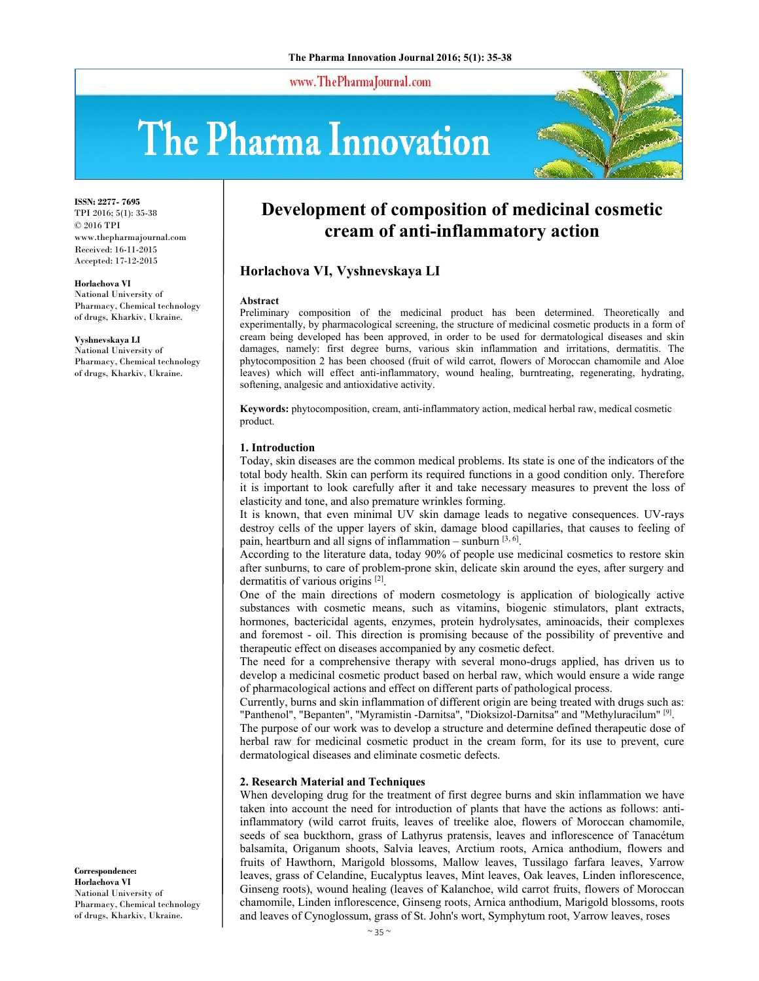www.ThePharmaJournal.com

# The Pharma Innovation



**ISSN: 2277- 7695** TPI 2016; 5(1): 35-38 © 2016 TPI www.thepharmajournal.com Received: 16-11-2015 Accepted: 17-12-2015

#### **Horlachova VІ**

National University of Pharmacy, Chemical technology of drugs, Kharkiv, Ukraine.

#### **Vyshnevskaya LІ**

National University of Pharmacy, Chemical technology of drugs, Kharkiv, Ukraine.

**Development of composition of medicinal cosmetic cream of anti-inflammatory action** 

# **Horlachova VІ, Vyshnevskaya LІ**

#### **Abstract**

Preliminary composition of the medicinal product has been determined. Тheoretically and experimentally, by pharmacological screening, the structure of medicinal cosmetic products in a form of cream being developed has been approved, in order to be used for dermatological diseases and skin damages, namely: first degree burns, various skin inflammation and irritations, dermatitis. The phytocomposition 2 has been choosed (fruit of wild carrot, flowers of Moroccan chamomile and Aloe leaves) which will effect anti-inflammatory, wound healing, burntreating, regenerating, hydrating, softening, analgesic and antioxidative activity.

**Keywords:** phytocomposition, cream, anti-inflammatory action, medical herbal raw, medical cosmetic product.

### **1. Introduction**

Today, skin diseases are the common medical problems. Its state is one of the indicators of the total body health. Skin can perform its required functions in a good condition only. Therefore it is important to look carefully after it and take necessary measures to prevent the loss of elasticity and tone, and also premature wrinkles forming.

It is known, that even minimal UV skin damage leads to negative consequences. UV-rays destroy cells of the upper layers of skin, damage blood capillaries, that causes to feeling of pain, heartburn and all signs of inflammation – sunburn  $[3, 6]$ .

According to the literature data, today 90% of people use medicinal cosmetics to restore skin after sunburns, to care of problem-prone skin, delicate skin around the eyes, after surgery and dermatitis of various origins [2].

One of the main directions of modern cosmetology is application of biologically active substances with cosmetic means, such as vitamins, biogenic stimulators, plant extracts, hormones, bactericidal agents, enzymes, protein hydrolysates, aminoacids, their complexes and foremost - oil. This direction is promising because of the possibility of preventive and therapeutic effect on diseases accompanied by any cosmetic defect.

The need for a comprehensive therapy with several mono-drugs applied, has driven us to develop a medicinal cosmetic product based on herbal raw, which would ensure a wide range of pharmacological actions and effect on different parts of pathological process.

Currently, burns and skin inflammation of different origin are being treated with drugs such as: "Panthenol", "Bepanten", "Myramistin -Darnitsa", "Dioksizol-Darnitsa" and "Methyluracilum" [9].

The purpose of our work was to develop a structure and determine defined therapeutic dose of herbal raw for medicinal cosmetic product in the cream form, for its use to prevent, cure dermatological diseases and eliminate cosmetic defects.

## **2. Research Material and Techniques**

When developing drug for the treatment of first degree burns and skin inflammation we have taken into account the need for introduction of plants that have the actions as follows: antiinflammatory (wild carrot fruits, leaves of treelike aloe, flowers of Moroccan chamomile, seeds of sea buckthorn, grass of Lathyrus pratensis, leaves and inflorescence of Tanacétum balsamíta, Origanum shoots, Salvia leaves, Arctium roots, Arnica anthodium, flowers and fruits of Hawthorn, Marigold blossoms, Mallow leaves, Tussilago farfara leaves, Уarrow leaves, grass of Сelandine, Eucalyptus leaves, Mint leaves, Oak leaves, Linden inflorescence, Ginseng roots), wound healing (leaves of Kalanchoe, wild carrot fruits, flowers of Moroccan chamomile, Linden inflorescence, Ginseng roots, Arnica anthodium, Marigold blossoms, roots and leaves of Cynoglossum, grass of St. John's wort, Symphytum root, Уarrow leaves, roses

**Correspondence: Horlachova VІ** National University of Pharmacy, Chemical technology of drugs, Kharkiv, Ukraine.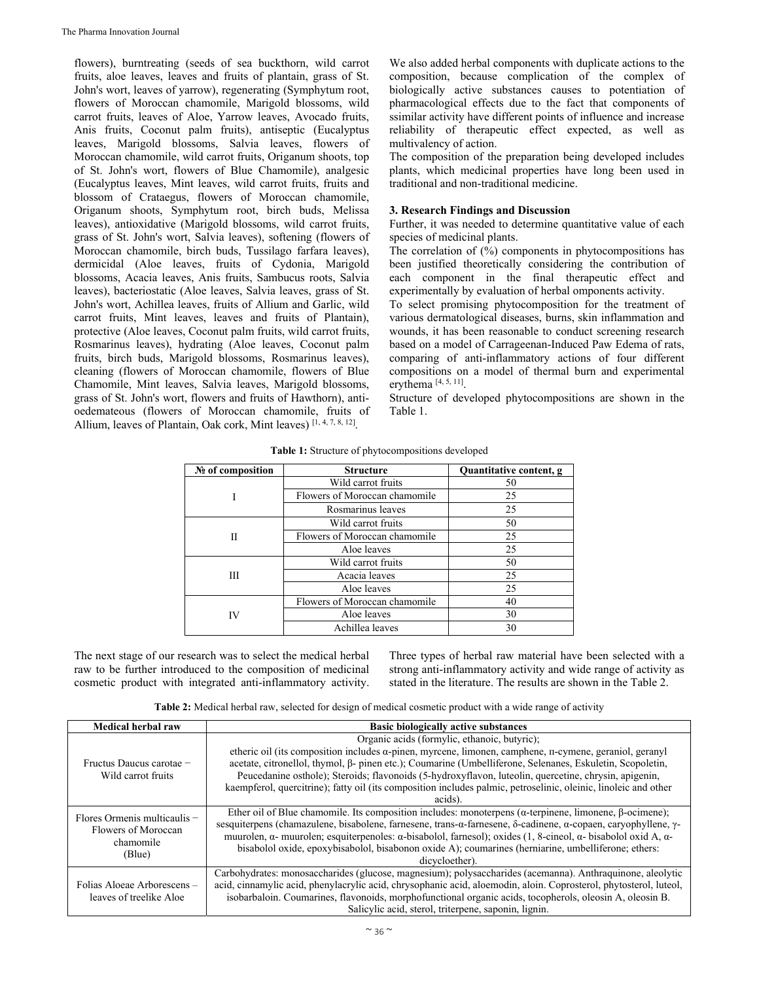flowers), burntreating (seeds of sea buckthorn, wild carrot fruits, aloe leaves, leaves and fruits of plantain, grass of St. John's wort, leaves of yarrow), regenerating (Symphytum root, flowers of Moroccan chamomile, Marigold blossoms, wild carrot fruits, leaves of Aloe, Yarrow leaves, Avocado fruits, Anis fruits, Coconut palm fruits), antiseptic (Eucalyptus leaves, Marigold blossoms, Salvia leaves, flowers of Moroccan chamomile, wild carrot fruits, Origanum shoots, top of St. John's wort, flowers of Blue Chamomile), analgesic (Eucalyptus leaves, Mint leaves, wild carrot fruits, fruits and blossom of Crataegus, flowers of Moroccan chamomile, Origanum shoots, Symphytum root, birch buds, Melissa leaves), antioxidative (Marigold blossoms, wild carrot fruits, grass of St. John's wort, Salvia leaves), softening (flowers of Moroccan chamomile, birch buds, Tussilago farfara leaves), dermicidal (Aloe leaves, fruits of Cydonia, Marigold blossoms, Acacia leaves, Anis fruits, Sambucus roots, Salvia leaves), bacteriostatic (Aloe leaves, Salvia leaves, grass of St. John's wort, Achillea leaves, fruits of Allium and Garlic, wild carrot fruits, Mint leaves, leaves and fruits of Plantain), protective (Aloe leaves, Coconut palm fruits, wild carrot fruits, Rosmarinus leaves), hydrating (Aloe leaves, Coconut palm fruits, birch buds, Marigold blossoms, Rosmarinus leaves), cleaning (flowers of Moroccan chamomile, flowers of Blue Chamomile, Mint leaves, Salvia leaves, Marigold blossoms, grass of St. John's wort, flowers and fruits of Hawthorn), antioedemateous (flowers of Moroccan chamomile, fruits of Allium, leaves of Plantain, Oak cork, Mint leaves)  $[1, 4, 7, 8, 12]$ .

We also added herbal components with duplicate actions to the composition, because complication of the complex of biologically active substances causes to potentiation of pharmacological effects due to the fact that components of ssimilar activity have different points of influence and increase reliability of therapeutic effect expected, as well as multivalency of action.

The composition of the preparation being developed includes plants, which medicinal properties have long been used in traditional and non-traditional medicine.

# **3. Research Findings and Discussion**

Further, it was needed to determine quantitative value of each species of medicinal plants.

The correlation of  $(\% )$  components in phytocompositions has been justified theoretically considering the contribution of each component in the final therapeutic effect and experimentally by evaluation of herbal omponents activity.

To select promising phytocomposition for the treatment of various dermatological diseases, burns, skin inflammation and wounds, it has been reasonable to conduct screening research based on a model of Carrageenan-Induced Paw Edema of rats, comparing of anti-inflammatory actions of four different compositions on a model of thermal burn and experimental erythema [4, 5, 11].

Structure of developed phytocompositions are shown in the Table 1.

| № of composition | <b>Structure</b>              | Quantitative content, g |
|------------------|-------------------------------|-------------------------|
|                  | Wild carrot fruits            | 50                      |
|                  | Flowers of Moroccan chamomile | 25                      |
|                  | Rosmarinus leaves             | 25                      |
|                  | Wild carrot fruits            | 50                      |
| Н                | Flowers of Moroccan chamomile | 25                      |
|                  | Aloe leaves                   | 25                      |
| Ш                | Wild carrot fruits            | 50                      |
|                  | Acacia leaves                 | 25                      |
|                  | Aloe leaves                   | 25                      |
|                  | Flowers of Moroccan chamomile | 40                      |
| IV               | Aloe leaves                   | 30                      |
|                  | Achillea leaves               | 30                      |

| Table 1: Structure of phytocompositions developed |  |  |
|---------------------------------------------------|--|--|
|---------------------------------------------------|--|--|

The next stage of our research was to select the medical herbal raw to be further introduced to the composition of medicinal cosmetic product with integrated anti-inflammatory activity. Three types of herbal raw material have been selected with a strong anti-inflammatory activity and wide range of activity as stated in the literature. The results are shown in the Table 2.

**Тable 2:** Medical herbal raw, selected for design of medical cosmetic product with a wide range of activity

| Medical herbal raw                                                           | <b>Basic biologically active substances</b>                                                                                                 |  |  |
|------------------------------------------------------------------------------|---------------------------------------------------------------------------------------------------------------------------------------------|--|--|
| Fructus Daucus carotae -<br>Wild carrot fruits                               | Organic acids (formylic, ethanoic, butyric);                                                                                                |  |  |
|                                                                              | etheric oil (its composition includes $\alpha$ -pinen, myrcene, limonen, camphene, $\pi$ -cymene, geraniol, geranyl                         |  |  |
|                                                                              | acetate, citronellol, thymol, β- pinen etc.); Coumarine (Umbelliferone, Selenanes, Eskuletin, Scopoletin,                                   |  |  |
|                                                                              | Peucedanine osthole); Steroids; flavonoids (5-hydroxyflavon, luteolin, quercetine, chrysin, apigenin,                                       |  |  |
|                                                                              | kaempferol, quercitrine); fatty oil (its composition includes palmic, petroselinic, oleinic, linoleic and other                             |  |  |
|                                                                              | acids).                                                                                                                                     |  |  |
| Flores Ormenis multicaulis $-$<br>Flowers of Moroccan<br>chamomile<br>(Blue) | Ether oil of Blue chamomile. Its composition includes: monoterpens ( $\alpha$ -terpinene, limonene, $\beta$ -ocimene);                      |  |  |
|                                                                              | sesquiterpens (chamazulene, bisabolene, farnesene, trans-α-farnesene, δ-cadinene, α-copaen, caryophyllene, γ-                               |  |  |
|                                                                              | muurolen, $\alpha$ - muurolen; esquiterpenoles: $\alpha$ -bisabolol, farnesol); oxides (1, 8-cineol, $\alpha$ -bisabolol oxid A, $\alpha$ - |  |  |
|                                                                              | bisabolol oxide, epoxybisabolol, bisabonon oxide A); coumarines (herniarine, umbelliferone; ethers:                                         |  |  |
|                                                                              | dicycloether).                                                                                                                              |  |  |
| Folias Aloeae Arborescens –<br>leaves of treelike Aloe                       | Carbohydrates: monosaccharides (glucose, magnesium); polysaccharides (acemanna). Anthraquinone, aleolytic                                   |  |  |
|                                                                              | acid, cinnamylic acid, phenylacrylic acid, chrysophanic acid, aloemodin, aloin. Coprosterol, phytosterol, luteol,                           |  |  |
|                                                                              | isobarbaloin. Coumarines, flavonoids, morphofunctional organic acids, tocopherols, oleosin A, oleosin B.                                    |  |  |
|                                                                              | Salicylic acid, sterol, triterpene, saponin, lignin.                                                                                        |  |  |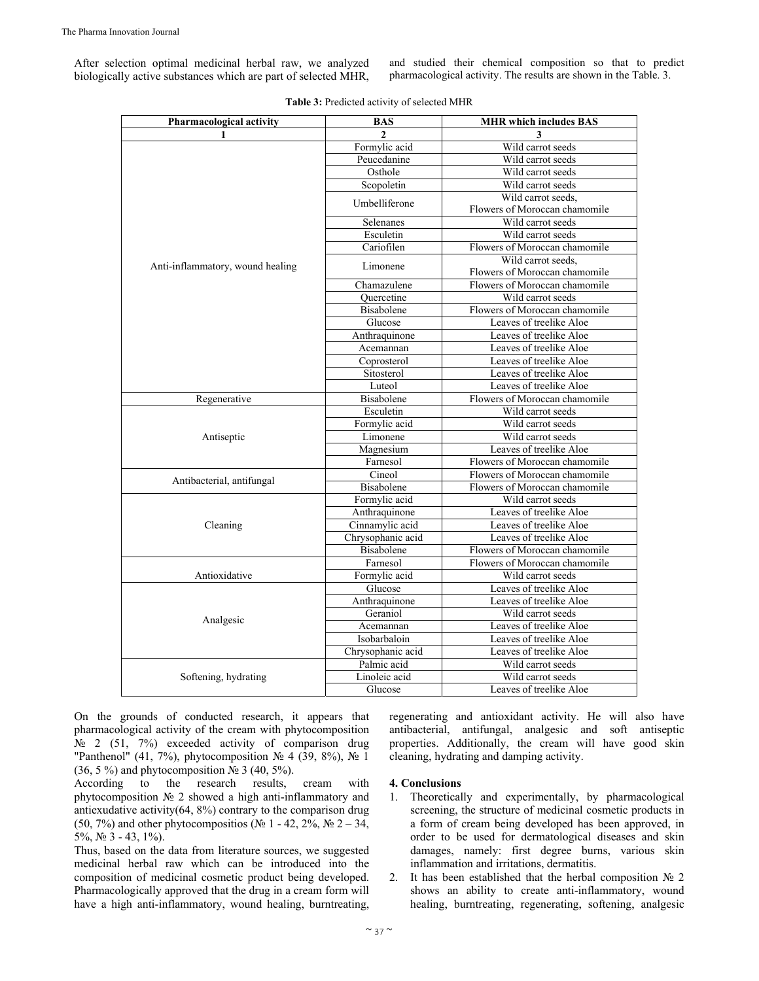After selection optimal medicinal herbal raw, we analyzed biologically active substances which are part of selected MHR,

and studied their chemical composition so that to predict pharmacological activity. The results are shown in the Table. 3.

| Pharmacological activity         | <b>BAS</b>        | <b>MHR</b> which includes BAS |
|----------------------------------|-------------------|-------------------------------|
| 1                                | $\mathbf{2}$      | 3                             |
|                                  | Formylic acid     | Wild carrot seeds             |
|                                  | Peucedanine       | Wild carrot seeds             |
|                                  | Osthole           | Wild carrot seeds             |
|                                  | Scopoletin        | Wild carrot seeds             |
|                                  | Umbelliferone     | Wild carrot seeds,            |
|                                  |                   | Flowers of Moroccan chamomile |
|                                  | Selenanes         | Wild carrot seeds             |
|                                  | Esculetin         | Wild carrot seeds             |
|                                  | Cariofilen        | Flowers of Moroccan chamomile |
|                                  | Limonene          | Wild carrot seeds,            |
| Anti-inflammatory, wound healing |                   | Flowers of Moroccan chamomile |
|                                  | Chamazulene       | Flowers of Moroccan chamomile |
|                                  | Ouercetine        | Wild carrot seeds             |
|                                  | Bisabolene        | Flowers of Moroccan chamomile |
|                                  | Glucose           | Leaves of treelike Aloe       |
|                                  | Anthraquinone     | Leaves of treelike Aloe       |
|                                  | Acemannan         | Leaves of treelike Aloe       |
|                                  | Coprosterol       | Leaves of treelike Aloe       |
|                                  | Sitosterol        | Leaves of treelike Aloe       |
|                                  | Luteol            | Leaves of treelike Aloe       |
| Regenerative                     | <b>Bisabolene</b> | Flowers of Moroccan chamomile |
|                                  | Esculetin         | Wild carrot seeds             |
|                                  | Formylic acid     | Wild carrot seeds             |
| Antiseptic                       | Limonene          | Wild carrot seeds             |
|                                  | Magnesium         | Leaves of treelike Aloe       |
|                                  | Farnesol          | Flowers of Moroccan chamomile |
|                                  | Cineol            | Flowers of Moroccan chamomile |
| Antibacterial, antifungal        | <b>Bisabolene</b> | Flowers of Moroccan chamomile |
|                                  | Formylic acid     | Wild carrot seeds             |
|                                  | Anthraquinone     | Leaves of treelike Aloe       |
| Cleaning                         | Cinnamylic acid   | Leaves of treelike Aloe       |
|                                  | Chrysophanic acid | Leaves of treelike Aloe       |
|                                  | <b>Bisabolene</b> | Flowers of Moroccan chamomile |
|                                  | Farnesol          | Flowers of Moroccan chamomile |
| Antioxidative                    | Formylic acid     | Wild carrot seeds             |
|                                  | Glucose           | Leaves of treelike Aloe       |
|                                  | Anthraquinone     | Leaves of treelike Aloe       |
|                                  | Geraniol          | Wild carrot seeds             |
| Analgesic                        | Acemannan         | Leaves of treelike Aloe       |
|                                  | Isobarbaloin      | Leaves of treelike Aloe       |
|                                  | Chrysophanic acid | Leaves of treelike Aloe       |
|                                  | Palmic acid       | Wild carrot seeds             |
| Softening, hydrating             | Linoleic acid     | Wild carrot seeds             |
|                                  | Glucose           | Leaves of treelike Aloe       |
|                                  |                   |                               |

Table 3: Predicted activity of selected MHR

On the grounds of conducted research, it appears that pharmacological activity of the cream with phytocomposition № 2 (51, 7%) exceeded activity of comparison drug "Panthenol" (41, 7%), phytocomposition № 4 (39, 8%), № 1  $(36, 5\%)$  and phytocomposition  $\mathbb{N}^{\circ}$  3 (40, 5%).

According to the research results, cream with phytocomposition № 2 showed a high anti-inflammatory and antiexudative activity(64, 8%) contrary to the comparison drug (50, 7%) and other phytocompositios (№ 1 - 42, 2%, № 2 – 34, 5%,  $N_2$  3 - 43, 1%).

Thus, based on the data from literature sources, we suggested medicinal herbal raw which can be introduced into the composition of medicinal cosmetic product being developed. Pharmacologically approved that the drug in a cream form will have a high anti-inflammatory, wound healing, burntreating,

regenerating and antioxidant activity. He will also have antibacterial, antifungal, analgesic and soft antiseptic properties. Additionally, the cream will have good skin cleaning, hydrating and damping activity.

# **4. Conclusions**

- 1. Тheoretically and experimentally, by pharmacological screening, the structure of medicinal cosmetic products in a form of cream being developed has been approved, in order to be used for dermatological diseases and skin damages, namely: first degree burns, various skin inflammation and irritations, dermatitis.
- 2. It has been established that the herbal composition  $\mathcal{N}$  2 shows an ability to create anti-inflammatory, wound healing, burntreating, regenerating, softening, analgesic